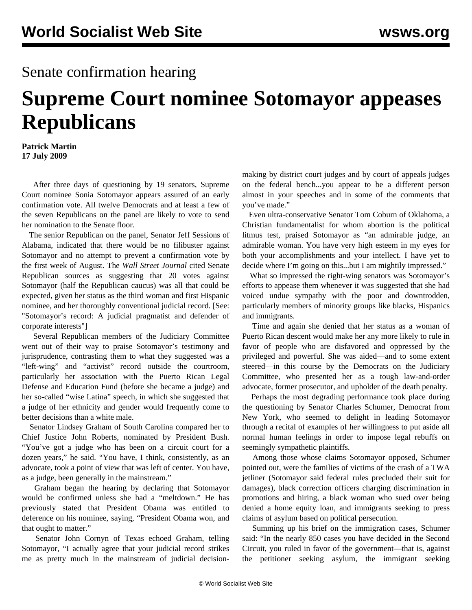## Senate confirmation hearing

## **Supreme Court nominee Sotomayor appeases Republicans**

**Patrick Martin 17 July 2009**

 After three days of questioning by 19 senators, Supreme Court nominee Sonia Sotomayor appears assured of an early confirmation vote. All twelve Democrats and at least a few of the seven Republicans on the panel are likely to vote to send her nomination to the Senate floor.

 The senior Republican on the panel, Senator Jeff Sessions of Alabama, indicated that there would be no filibuster against Sotomayor and no attempt to prevent a confirmation vote by the first week of August. The *Wall Street Journal* cited Senate Republican sources as suggesting that 20 votes against Sotomayor (half the Republican caucus) was all that could be expected, given her status as the third woman and first Hispanic nominee, and her thoroughly conventional judicial record. [See: "[Sotomayor's record: A judicial pragmatist and defender of](/en/articles/2009/jul2009/soto-j17.shtml) [corporate interests"](/en/articles/2009/jul2009/soto-j17.shtml)]

 Several Republican members of the Judiciary Committee went out of their way to praise Sotomayor's testimony and jurisprudence, contrasting them to what they suggested was a "left-wing" and "activist" record outside the courtroom, particularly her association with the Puerto Rican Legal Defense and Education Fund (before she became a judge) and her so-called "wise Latina" speech, in which she suggested that a judge of her ethnicity and gender would frequently come to better decisions than a white male.

 Senator Lindsey Graham of South Carolina compared her to Chief Justice John Roberts, nominated by President Bush. "You've got a judge who has been on a circuit court for a dozen years," he said. "You have, I think, consistently, as an advocate, took a point of view that was left of center. You have, as a judge, been generally in the mainstream."

 Graham began the hearing by declaring that Sotomayor would be confirmed unless she had a "meltdown." He has previously stated that President Obama was entitled to deference on his nominee, saying, "President Obama won, and that ought to matter."

 Senator John Cornyn of Texas echoed Graham, telling Sotomayor, "I actually agree that your judicial record strikes me as pretty much in the mainstream of judicial decisionmaking by district court judges and by court of appeals judges on the federal bench...you appear to be a different person almost in your speeches and in some of the comments that you've made."

 Even ultra-conservative Senator Tom Coburn of Oklahoma, a Christian fundamentalist for whom abortion is the political litmus test, praised Sotomayor as "an admirable judge, an admirable woman. You have very high esteem in my eyes for both your accomplishments and your intellect. I have yet to decide where I'm going on this...but I am mightily impressed."

 What so impressed the right-wing senators was Sotomayor's efforts to appease them whenever it was suggested that she had voiced undue sympathy with the poor and downtrodden, particularly members of minority groups like blacks, Hispanics and immigrants.

 Time and again she denied that her status as a woman of Puerto Rican descent would make her any more likely to rule in favor of people who are disfavored and oppressed by the privileged and powerful. She was aided—and to some extent steered—in this course by the Democrats on the Judiciary Committee, who presented her as a tough law-and-order advocate, former prosecutor, and upholder of the death penalty.

 Perhaps the most degrading performance took place during the questioning by Senator Charles Schumer, Democrat from New York, who seemed to delight in leading Sotomayor through a recital of examples of her willingness to put aside all normal human feelings in order to impose legal rebuffs on seemingly sympathetic plaintiffs.

 Among those whose claims Sotomayor opposed, Schumer pointed out, were the families of victims of the crash of a TWA jetliner (Sotomayor said federal rules precluded their suit for damages), black correction officers charging discrimination in promotions and hiring, a black woman who sued over being denied a home equity loan, and immigrants seeking to press claims of asylum based on political persecution.

 Summing up his brief on the immigration cases, Schumer said: "In the nearly 850 cases you have decided in the Second Circuit, you ruled in favor of the government—that is, against the petitioner seeking asylum, the immigrant seeking